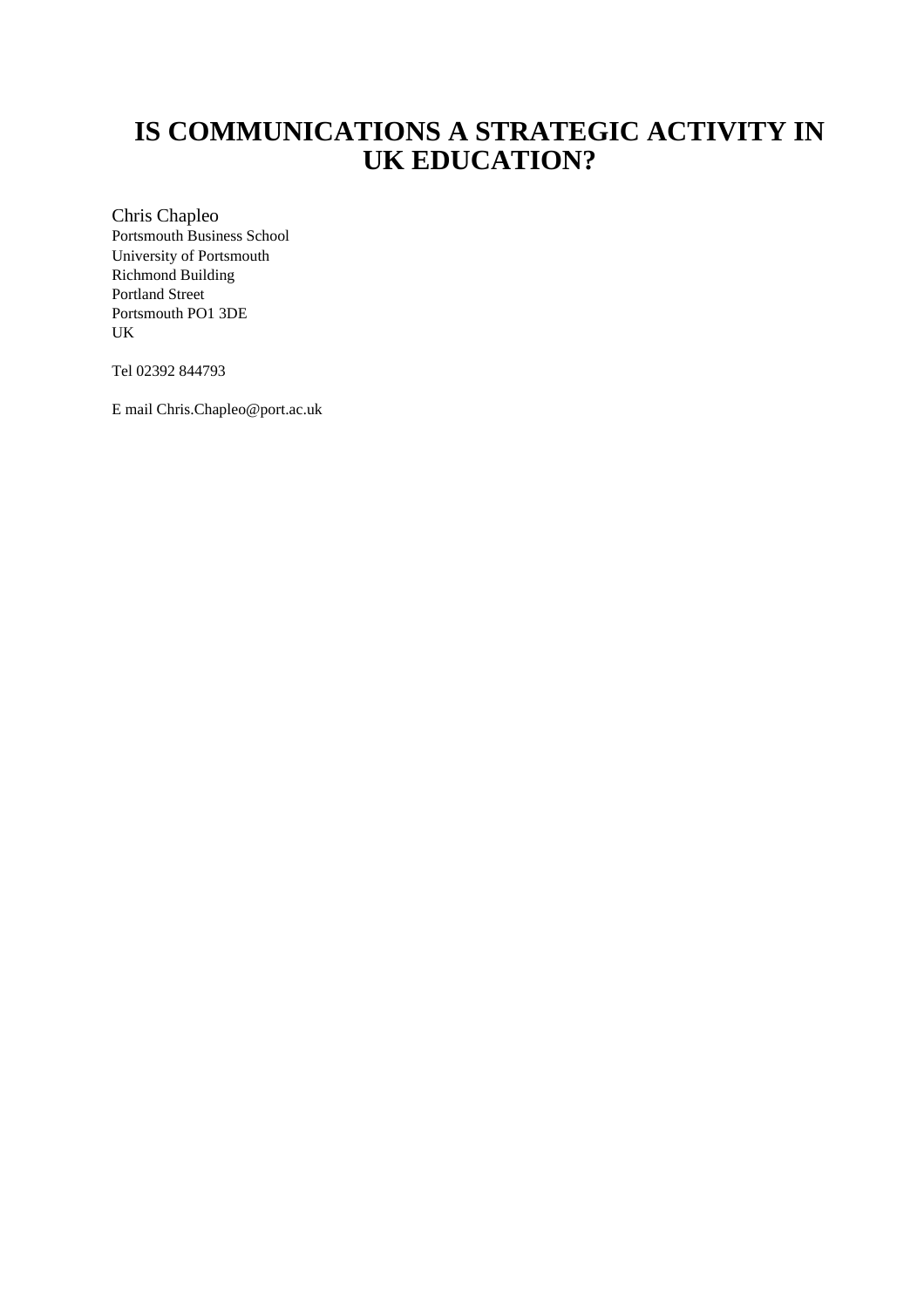# **IS COMMUNICATIONS A STRATEGIC ACTIVITY IN UK EDUCATION?**

Chris Chapleo Portsmouth Business School University of Portsmouth Richmond Building Portland Street Portsmouth PO1 3DE UK

Tel 02392 844793

E mail Chris.Chapleo@port.ac.uk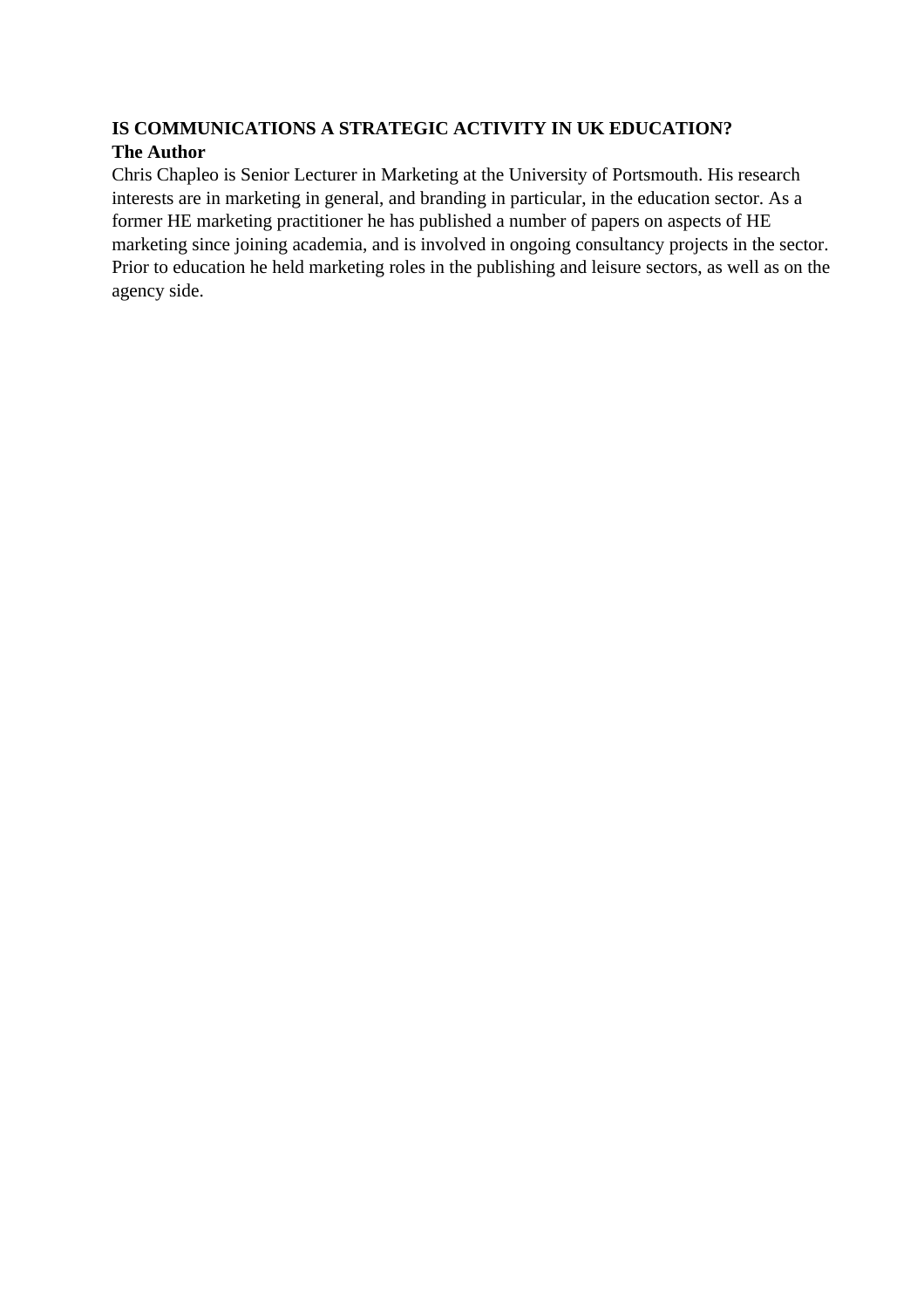# **IS COMMUNICATIONS A STRATEGIC ACTIVITY IN UK EDUCATION? The Author**

Chris Chapleo is Senior Lecturer in Marketing at the University of Portsmouth. His research interests are in marketing in general, and branding in particular, in the education sector. As a former HE marketing practitioner he has published a number of papers on aspects of HE marketing since joining academia, and is involved in ongoing consultancy projects in the sector. Prior to education he held marketing roles in the publishing and leisure sectors, as well as on the agency side.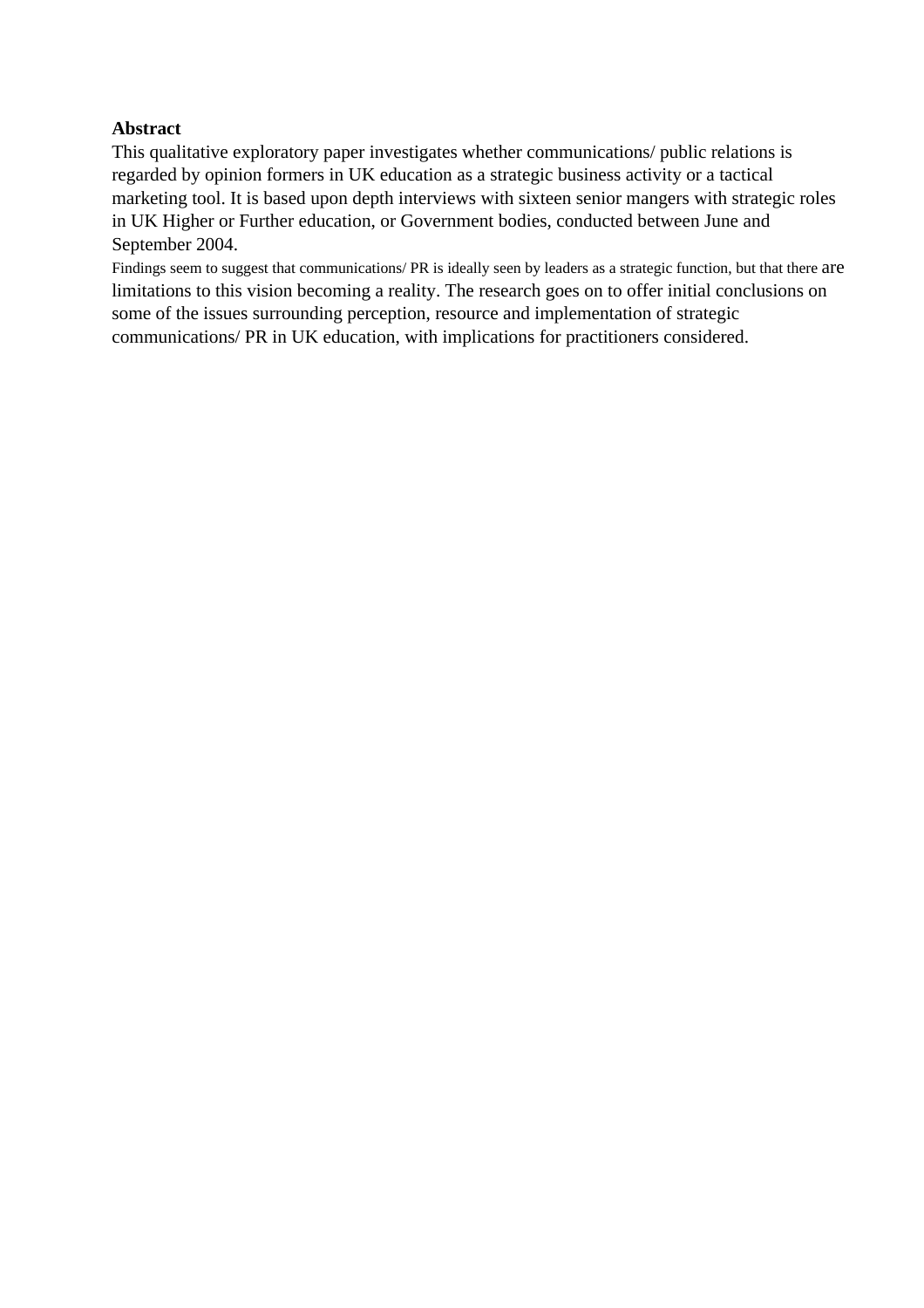## **Abstract**

This qualitative exploratory paper investigates whether communications/ public relations is regarded by opinion formers in UK education as a strategic business activity or a tactical marketing tool. It is based upon depth interviews with sixteen senior mangers with strategic roles in UK Higher or Further education, or Government bodies, conducted between June and September 2004.

Findings seem to suggest that communications/ PR is ideally seen by leaders as a strategic function, but that there are limitations to this vision becoming a reality. The research goes on to offer initial conclusions on some of the issues surrounding perception, resource and implementation of strategic communications/ PR in UK education, with implications for practitioners considered.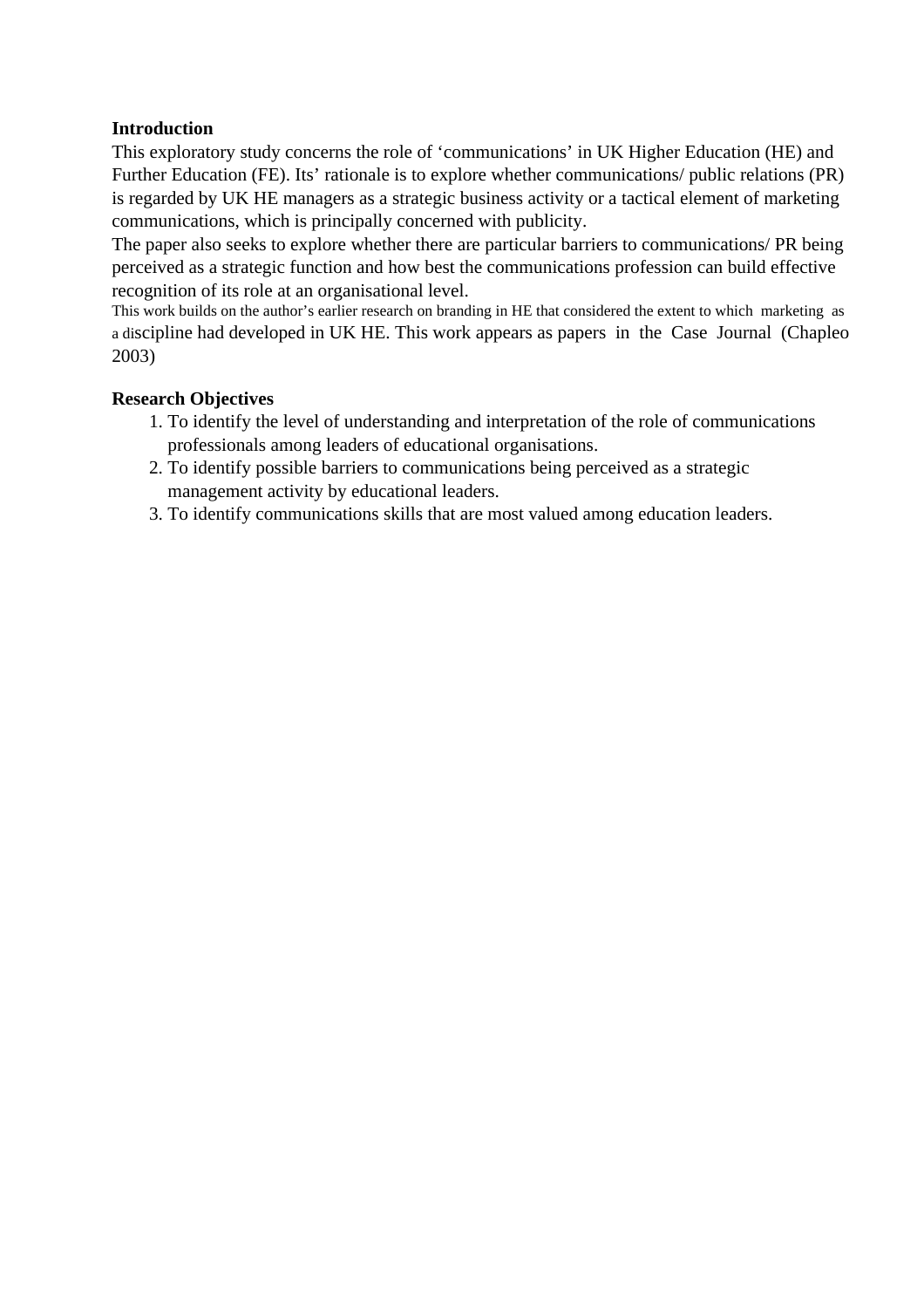# **Introduction**

This exploratory study concerns the role of 'communications' in UK Higher Education (HE) and Further Education (FE). Its' rationale is to explore whether communications/ public relations (PR) is regarded by UK HE managers as a strategic business activity or a tactical element of marketing communications, which is principally concerned with publicity.

The paper also seeks to explore whether there are particular barriers to communications/ PR being perceived as a strategic function and how best the communications profession can build effective recognition of its role at an organisational level.

This work builds on the author's earlier research on branding in HE that considered the extent to which marketing as a discipline had developed in UK HE. This work appears as papers in the Case Journal (Chapleo 2003)

# **Research Objectives**

- 1. To identify the level of understanding and interpretation of the role of communications professionals among leaders of educational organisations.
- 2. To identify possible barriers to communications being perceived as a strategic management activity by educational leaders.
- 3. To identify communications skills that are most valued among education leaders.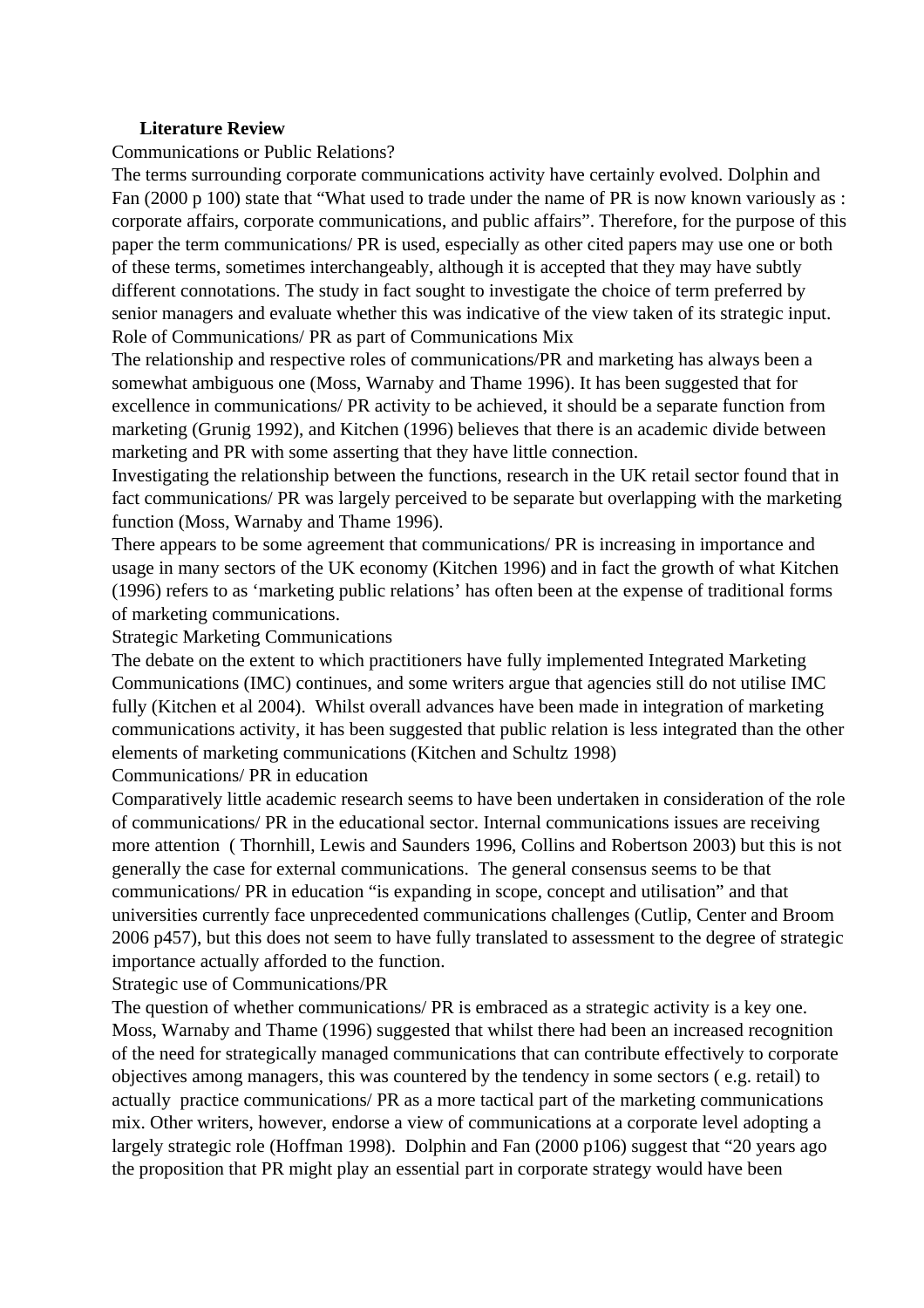#### **Literature Review**

#### Communications or Public Relations?

The terms surrounding corporate communications activity have certainly evolved. Dolphin and Fan (2000 p 100) state that "What used to trade under the name of PR is now known variously as : corporate affairs, corporate communications, and public affairs". Therefore, for the purpose of this paper the term communications/ PR is used, especially as other cited papers may use one or both of these terms, sometimes interchangeably, although it is accepted that they may have subtly different connotations. The study in fact sought to investigate the choice of term preferred by senior managers and evaluate whether this was indicative of the view taken of its strategic input. Role of Communications/ PR as part of Communications Mix

The relationship and respective roles of communications/PR and marketing has always been a somewhat ambiguous one (Moss, Warnaby and Thame 1996). It has been suggested that for excellence in communications/ PR activity to be achieved, it should be a separate function from marketing (Grunig 1992), and Kitchen (1996) believes that there is an academic divide between marketing and PR with some asserting that they have little connection.

Investigating the relationship between the functions, research in the UK retail sector found that in fact communications/ PR was largely perceived to be separate but overlapping with the marketing function (Moss, Warnaby and Thame 1996).

There appears to be some agreement that communications/ PR is increasing in importance and usage in many sectors of the UK economy (Kitchen 1996) and in fact the growth of what Kitchen (1996) refers to as 'marketing public relations' has often been at the expense of traditional forms of marketing communications.

Strategic Marketing Communications

The debate on the extent to which practitioners have fully implemented Integrated Marketing Communications (IMC) continues, and some writers argue that agencies still do not utilise IMC fully (Kitchen et al 2004). Whilst overall advances have been made in integration of marketing communications activity, it has been suggested that public relation is less integrated than the other elements of marketing communications (Kitchen and Schultz 1998)

Communications/ PR in education

Comparatively little academic research seems to have been undertaken in consideration of the role of communications/ PR in the educational sector. Internal communications issues are receiving more attention ( Thornhill, Lewis and Saunders 1996, Collins and Robertson 2003) but this is not generally the case for external communications. The general consensus seems to be that communications/ PR in education "is expanding in scope, concept and utilisation" and that universities currently face unprecedented communications challenges (Cutlip, Center and Broom 2006 p457), but this does not seem to have fully translated to assessment to the degree of strategic importance actually afforded to the function.

Strategic use of Communications/PR

The question of whether communications/ PR is embraced as a strategic activity is a key one. Moss, Warnaby and Thame (1996) suggested that whilst there had been an increased recognition of the need for strategically managed communications that can contribute effectively to corporate objectives among managers, this was countered by the tendency in some sectors ( e.g. retail) to actually practice communications/ PR as a more tactical part of the marketing communications mix. Other writers, however, endorse a view of communications at a corporate level adopting a largely strategic role (Hoffman 1998). Dolphin and Fan (2000 p106) suggest that "20 years ago the proposition that PR might play an essential part in corporate strategy would have been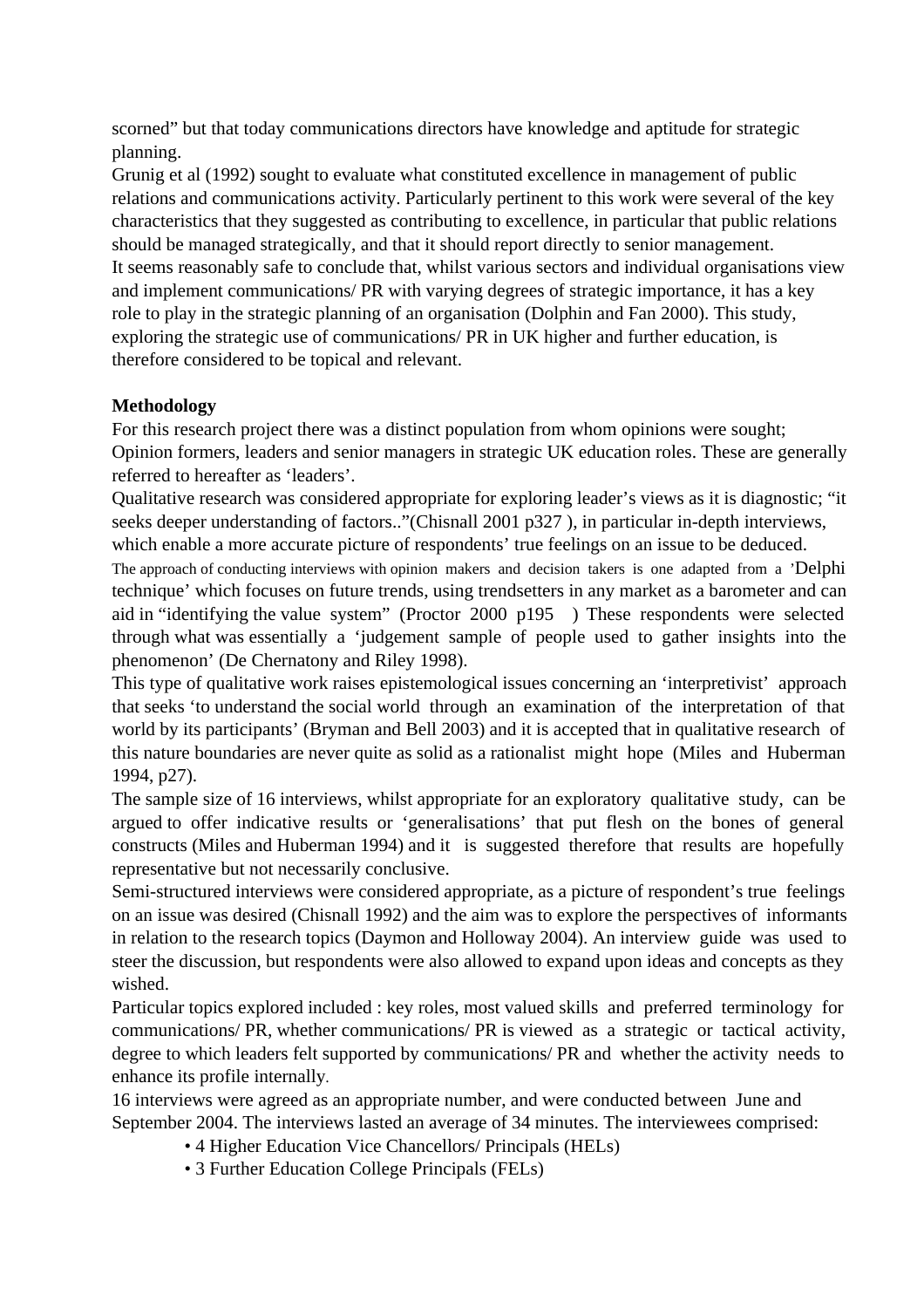scorned" but that today communications directors have knowledge and aptitude for strategic planning.

Grunig et al (1992) sought to evaluate what constituted excellence in management of public relations and communications activity. Particularly pertinent to this work were several of the key characteristics that they suggested as contributing to excellence, in particular that public relations should be managed strategically, and that it should report directly to senior management. It seems reasonably safe to conclude that, whilst various sectors and individual organisations view and implement communications/ PR with varying degrees of strategic importance, it has a key role to play in the strategic planning of an organisation (Dolphin and Fan 2000). This study, exploring the strategic use of communications/ PR in UK higher and further education, is therefore considered to be topical and relevant.

# **Methodology**

For this research project there was a distinct population from whom opinions were sought; Opinion formers, leaders and senior managers in strategic UK education roles. These are generally referred to hereafter as 'leaders'.

Qualitative research was considered appropriate for exploring leader's views as it is diagnostic; "it seeks deeper understanding of factors.."(Chisnall 2001 p327 ), in particular in-depth interviews, which enable a more accurate picture of respondents' true feelings on an issue to be deduced.

The approach of conducting interviews with opinion makers and decision takers is one adapted from a 'Delphi technique' which focuses on future trends, using trendsetters in any market as a barometer and can aid in "identifying the value system" (Proctor 2000 p195 )These respondents were selected through what was essentially a 'judgement sample of people used to gather insights into the phenomenon' (De Chernatony and Riley 1998).

This type of qualitative work raises epistemological issues concerning an 'interpretivist' approach that seeks 'to understand the social world through an examination of the interpretation of that world by its participants' (Bryman and Bell 2003) and it is accepted that in qualitative research of this nature boundaries are never quite as solid as a rationalist might hope (Miles and Huberman 1994, p27).

The sample size of 16 interviews, whilst appropriate for an exploratory qualitative study, can be argued to offer indicative results or 'generalisations' that put flesh on the bones of general constructs (Miles and Huberman 1994) and it is suggested therefore that results are hopefully representative but not necessarily conclusive.

Semi-structured interviews were considered appropriate, as a picture of respondent's true feelings on an issue was desired (Chisnall 1992) and the aim was to explore the perspectives of informants in relation to the research topics (Daymon and Holloway 2004). An interview guide was used to steer the discussion, but respondents were also allowed to expand upon ideas and concepts as they wished.

Particular topics explored included : key roles, most valued skills and preferred terminology for communications/ PR, whether communications/ PR is viewed as a strategic or tactical activity, degree to which leaders felt supported by communications/ PR and whether the activity needs to enhance its profile internally.

16 interviews were agreed as an appropriate number, and were conducted between June and September 2004. The interviews lasted an average of 34 minutes. The interviewees comprised:

- 4 Higher Education Vice Chancellors/ Principals (HELs)
- 3 Further Education College Principals (FELs)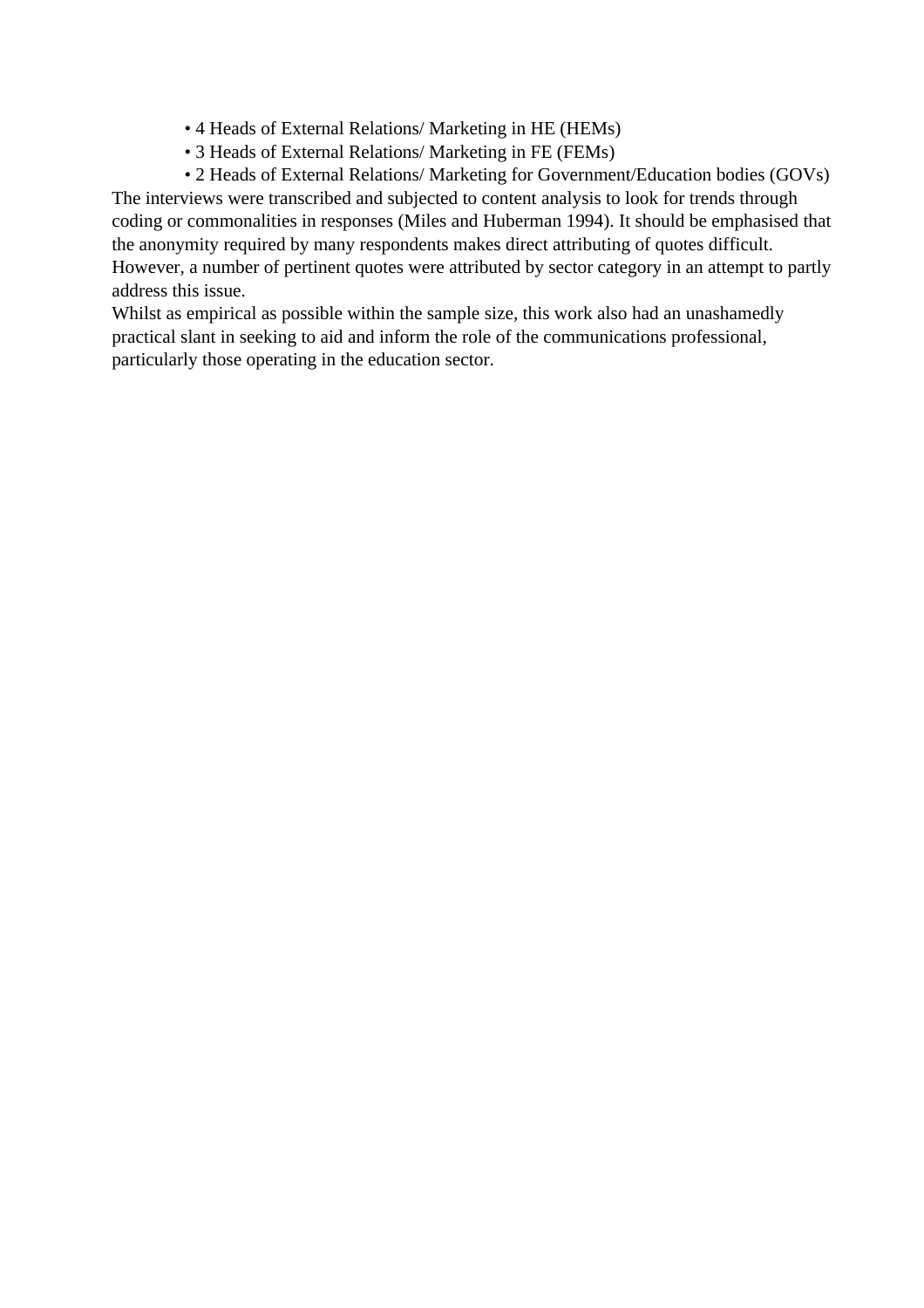- 4 Heads of External Relations/ Marketing in HE (HEMs)
- 3 Heads of External Relations/ Marketing in FE (FEMs)

• 2 Heads of External Relations/ Marketing for Government/Education bodies (GOVs) The interviews were transcribed and subjected to content analysis to look for trends through coding or commonalities in responses (Miles and Huberman 1994). It should be emphasised that the anonymity required by many respondents makes direct attributing of quotes difficult. However, a number of pertinent quotes were attributed by sector category in an attempt to partly address this issue.

Whilst as empirical as possible within the sample size, this work also had an unashamedly practical slant in seeking to aid and inform the role of the communications professional, particularly those operating in the education sector.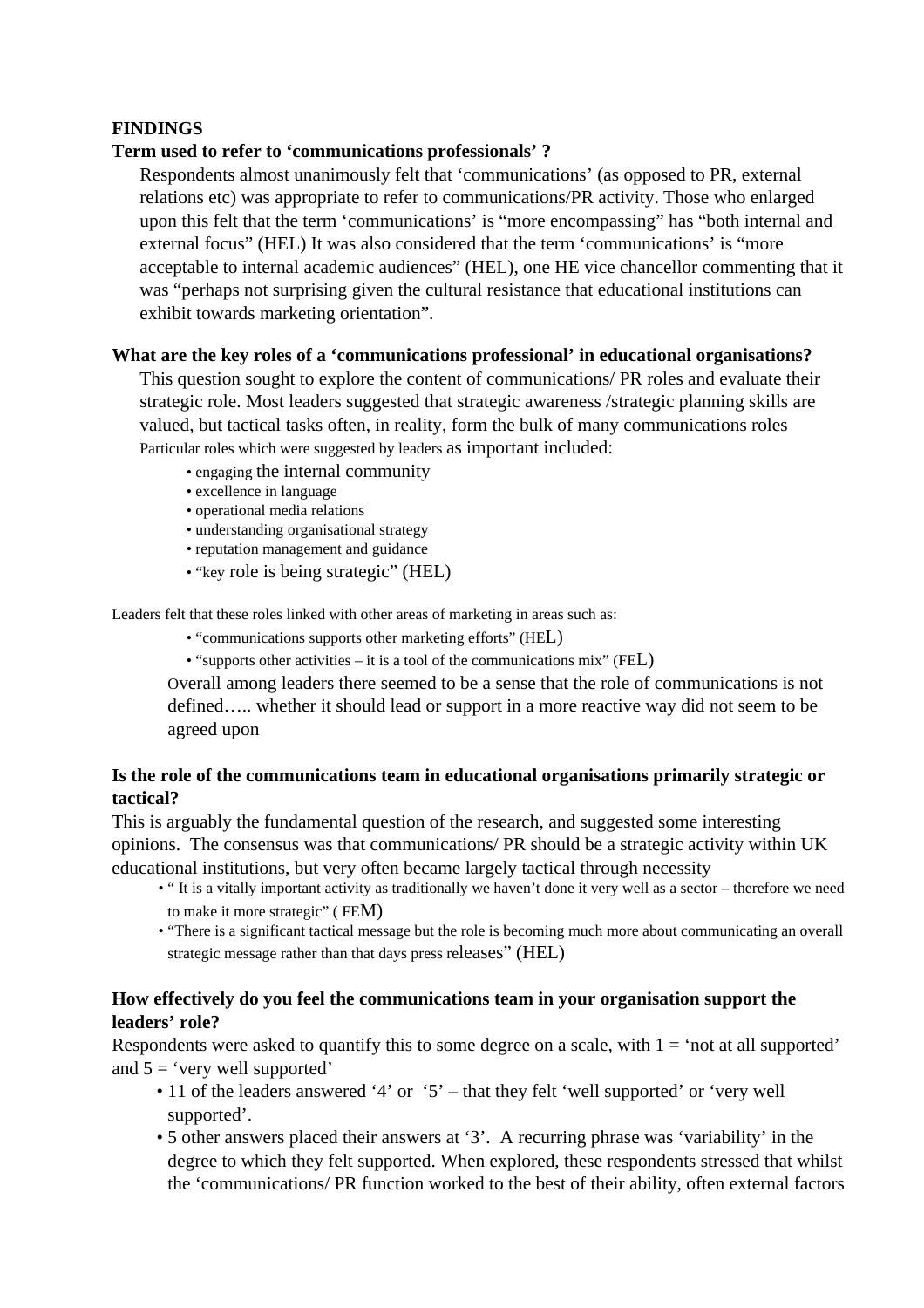# **FINDINGS**

# **Term used to refer to 'communications professionals' ?**

Respondents almost unanimously felt that 'communications' (as opposed to PR, external relations etc) was appropriate to refer to communications/PR activity. Those who enlarged upon this felt that the term 'communications' is "more encompassing" has "both internal and external focus" (HEL) It was also considered that the term 'communications' is "more acceptable to internal academic audiences" (HEL), one HE vice chancellor commenting that it was "perhaps not surprising given the cultural resistance that educational institutions can exhibit towards marketing orientation".

#### **What are the key roles of a 'communications professional' in educational organisations?**

This question sought to explore the content of communications/ PR roles and evaluate their strategic role. Most leaders suggested that strategic awareness /strategic planning skills are valued, but tactical tasks often, in reality, form the bulk of many communications roles Particular roles which were suggested by leaders as important included:

- engaging the internal community
- excellence in language
- operational media relations
- understanding organisational strategy
- reputation management and guidance
- "key role is being strategic" (HEL)

Leaders felt that these roles linked with other areas of marketing in areas such as:

- "communications supports other marketing efforts" (HEL)
- "supports other activities it is a tool of the communications mix" (FEL)

Overall among leaders there seemed to be a sense that the role of communications is not defined….. whether it should lead or support in a more reactive way did not seem to be agreed upon

# **Is the role of the communications team in educational organisations primarily strategic or tactical?**

This is arguably the fundamental question of the research, and suggested some interesting opinions. The consensus was that communications/ PR should be a strategic activity within UK educational institutions, but very often became largely tactical through necessity

- " It is a vitally important activity as traditionally we haven't done it very well as a sector therefore we need to make it more strategic" ( FEM)
- "There is a significant tactical message but the role is becoming much more about communicating an overall strategic message rather than that days press releases" (HEL)

# **How effectively do you feel the communications team in your organisation support the leaders' role?**

Respondents were asked to quantify this to some degree on a scale, with  $1 = 'not$  at all supported' and  $5 = 'very$  well supported'

- 11 of the leaders answered '4' or '5' that they felt 'well supported' or 'very well supported'.
- 5 other answers placed their answers at '3'. A recurring phrase was 'variability' in the degree to which they felt supported. When explored, these respondents stressed that whilst the 'communications/ PR function worked to the best of their ability, often external factors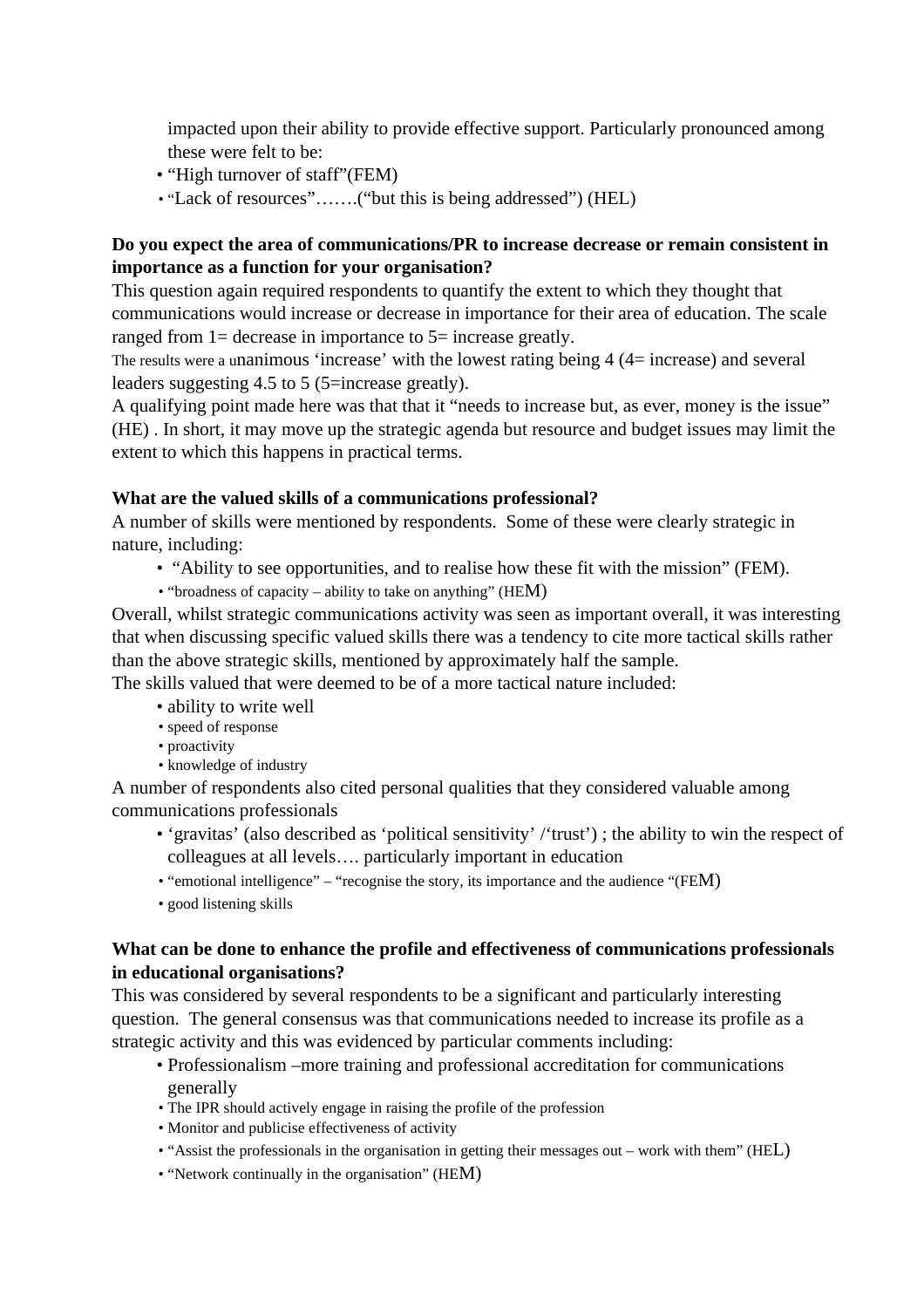impacted upon their ability to provide effective support. Particularly pronounced among these were felt to be:

- "High turnover of staff"(FEM)
- "Lack of resources".......("but this is being addressed") (HEL)

# **Do you expect the area of communications/PR to increase decrease or remain consistent in importance as a function for your organisation?**

This question again required respondents to quantify the extent to which they thought that communications would increase or decrease in importance for their area of education. The scale ranged from 1= decrease in importance to 5= increase greatly.

The results were a unanimous 'increase' with the lowest rating being 4 (4= increase) and several leaders suggesting 4.5 to 5 (5=increase greatly).

A qualifying point made here was that that it "needs to increase but, as ever, money is the issue" (HE) . In short, it may move up the strategic agenda but resource and budget issues may limit the extent to which this happens in practical terms.

# **What are the valued skills of a communications professional?**

A number of skills were mentioned by respondents. Some of these were clearly strategic in nature, including:

- "Ability to see opportunities, and to realise how these fit with the mission" (FEM).
- "broadness of capacity ability to take on anything" (HEM)

Overall, whilst strategic communications activity was seen as important overall, it was interesting that when discussing specific valued skills there was a tendency to cite more tactical skills rather than the above strategic skills, mentioned by approximately half the sample.

The skills valued that were deemed to be of a more tactical nature included:

- ability to write well
- speed of response
- proactivity
- knowledge of industry

A number of respondents also cited personal qualities that they considered valuable among communications professionals

- 'gravitas' (also described as 'political sensitivity' /'trust') ; the ability to win the respect of colleagues at all levels…. particularly important in education
- "emotional intelligence" "recognise the story, its importance and the audience "(FEM)
- good listening skills

# **What can be done to enhance the profile and effectiveness of communications professionals in educational organisations?**

This was considered by several respondents to be a significant and particularly interesting question. The general consensus was that communications needed to increase its profile as a strategic activity and this was evidenced by particular comments including:

- Professionalism –more training and professional accreditation for communications generally
- The IPR should actively engage in raising the profile of the profession
- Monitor and publicise effectiveness of activity
- "Assist the professionals in the organisation in getting their messages out work with them" (HEL)
- "Network continually in the organisation" (HEM)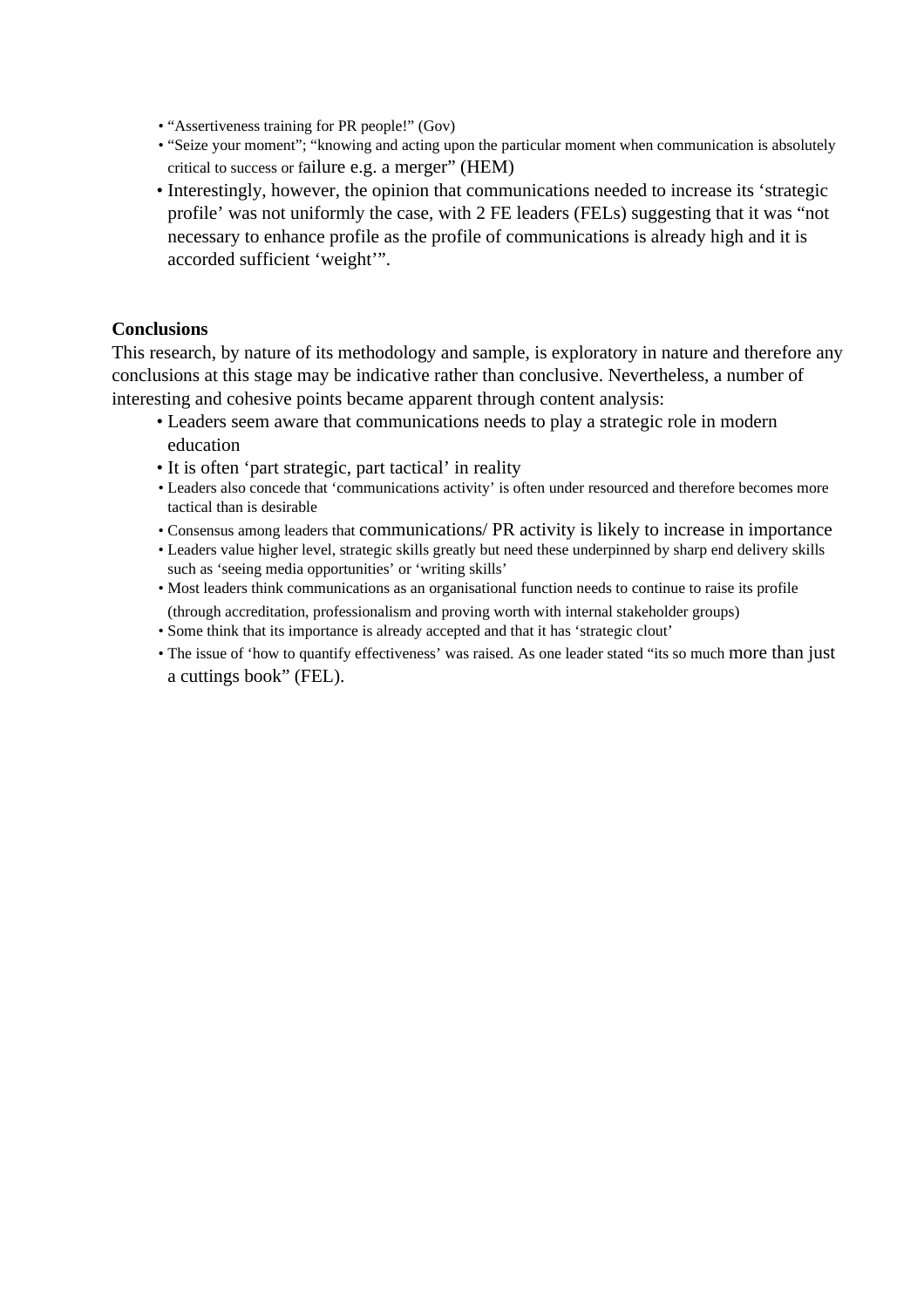- "Assertiveness training for PR people!" (Gov)
- "Seize your moment"; "knowing and acting upon the particular moment when communication is absolutely critical to success or failure e.g. a merger" (HEM)
- Interestingly, however, the opinion that communications needed to increase its 'strategic profile' was not uniformly the case, with 2 FE leaders (FELs) suggesting that it was "not necessary to enhance profile as the profile of communications is already high and it is accorded sufficient 'weight'".

#### **Conclusions**

This research, by nature of its methodology and sample, is exploratory in nature and therefore any conclusions at this stage may be indicative rather than conclusive. Nevertheless, a number of interesting and cohesive points became apparent through content analysis:

- Leaders seem aware that communications needs to play a strategic role in modern education
- It is often 'part strategic, part tactical' in reality
- Leaders also concede that 'communications activity' is often under resourced and therefore becomes more tactical than is desirable
- Consensus among leaders that communications/ PR activity is likely to increase in importance
- Leaders value higher level, strategic skills greatly but need these underpinned by sharp end delivery skills such as 'seeing media opportunities' or 'writing skills'
- Most leaders think communications as an organisational function needs to continue to raise its profile (through accreditation, professionalism and proving worth with internal stakeholder groups)
- Some think that its importance is already accepted and that it has 'strategic clout'
- The issue of 'how to quantify effectiveness' was raised. As one leader stated "its so much more than just a cuttings book" (FEL).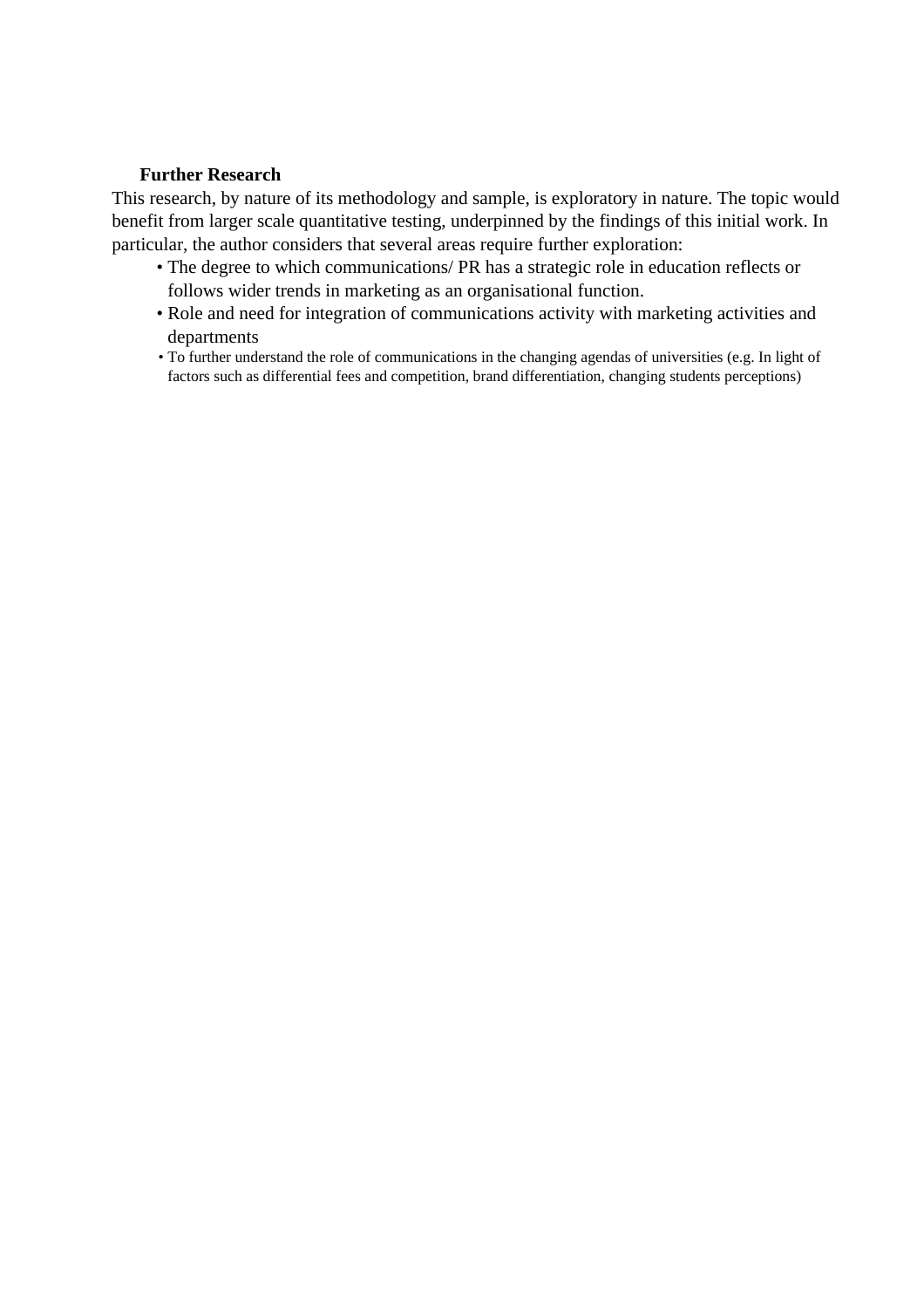## **Further Research**

This research, by nature of its methodology and sample, is exploratory in nature. The topic would benefit from larger scale quantitative testing, underpinned by the findings of this initial work. In particular, the author considers that several areas require further exploration:

- The degree to which communications/ PR has a strategic role in education reflects or follows wider trends in marketing as an organisational function.
- Role and need for integration of communications activity with marketing activities and departments
- To further understand the role of communications in the changing agendas of universities (e.g. In light of factors such as differential fees and competition, brand differentiation, changing students perceptions)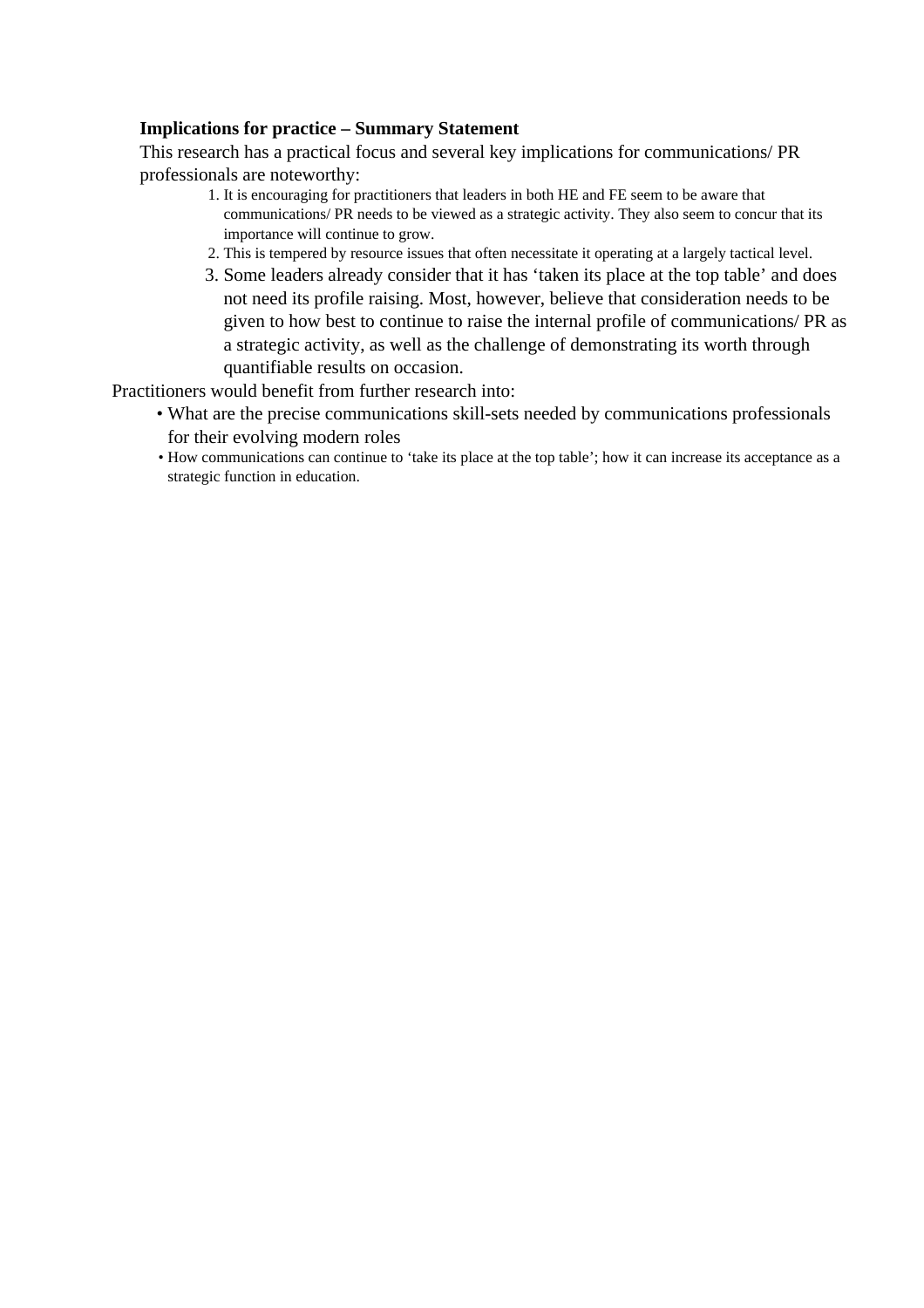## **Implications for practice – Summary Statement**

This research has a practical focus and several key implications for communications/ PR professionals are noteworthy:

- 1. It is encouraging for practitioners that leaders in both HE and FE seem to be aware that communications/ PR needs to be viewed as a strategic activity. They also seem to concur that its importance will continue to grow.
- 2. This is tempered by resource issues that often necessitate it operating at a largely tactical level.
- 3. Some leaders already consider that it has 'taken its place at the top table' and does not need its profile raising. Most, however, believe that consideration needs to be given to how best to continue to raise the internal profile of communications/ PR as a strategic activity, as well as the challenge of demonstrating its worth through quantifiable results on occasion.

Practitioners would benefit from further research into:

- What are the precise communications skill-sets needed by communications professionals for their evolving modern roles
- How communications can continue to 'take its place at the top table'; how it can increase its acceptance as a strategic function in education.